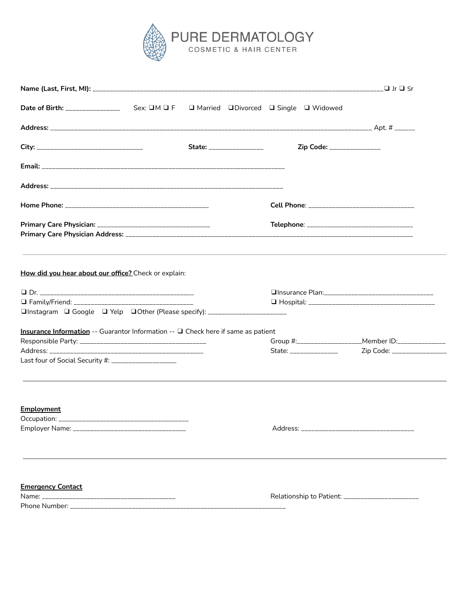

|                                                                                                                                          |  | State: ________________ | Zip Code: _______________                       |                                                                                   |
|------------------------------------------------------------------------------------------------------------------------------------------|--|-------------------------|-------------------------------------------------|-----------------------------------------------------------------------------------|
|                                                                                                                                          |  |                         |                                                 |                                                                                   |
|                                                                                                                                          |  |                         |                                                 |                                                                                   |
|                                                                                                                                          |  |                         |                                                 |                                                                                   |
|                                                                                                                                          |  |                         | Telephone: ________________________________     |                                                                                   |
| How did you hear about our office? Check or explain:                                                                                     |  |                         |                                                 |                                                                                   |
| □Instagram □ Google □ Yelp □Other (Please specify): ________________________                                                             |  |                         |                                                 |                                                                                   |
|                                                                                                                                          |  |                         |                                                 |                                                                                   |
| Insurance Information -- Guarantor Information -- □ Check here if same as patient<br>Last four of Social Security #: ___________________ |  |                         | State: _______________                          | Group #:_____________________Member ID:_____________<br>Zip Code: _______________ |
| <b>Employment</b>                                                                                                                        |  |                         |                                                 |                                                                                   |
|                                                                                                                                          |  |                         |                                                 |                                                                                   |
| <b>Emergency Contact</b>                                                                                                                 |  |                         | Relationship to Patient: ______________________ |                                                                                   |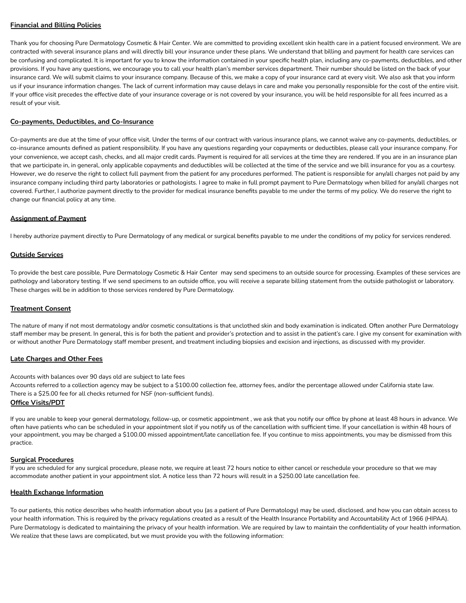# **Financial and Billing Policies**

Thank you for choosing Pure Dermatology Cosmetic & Hair Center. We are committed to providing excellent skin health care in a patient focused environment. We are contracted with several insurance plans and will directly bill your insurance under these plans. We understand that billing and payment for health care services can be confusing and complicated. It is important for you to know the information contained in your specific health plan, including any co-payments, deductibles, and other provisions. If you have any questions, we encourage you to call your health plan's member services department. Their number should be listed on the back of your insurance card. We will submit claims to your insurance company. Because of this, we make a copy of your insurance card at every visit. We also ask that you inform us if your insurance information changes. The lack of current information may cause delays in care and make you personally responsible for the cost of the entire visit. If your office visit precedes the effective date of your insurance coverage or is not covered by your insurance, you will be held responsible for all fees incurred as a result of your visit.

## **Co-payments, Deductibles, and Co-Insurance**

Co-payments are due at the time of your office visit. Under the terms of our contract with various insurance plans, we cannot waive any co-payments, deductibles, or co-insurance amounts defined as patient responsibility. If you have any questions regarding your copayments or deductibles, please call your insurance company. For your convenience, we accept cash, checks, and all major credit cards. Payment is required for all services at the time they are rendered. If you are in an insurance plan that we participate in, in general, only applicable copayments and deductibles will be collected at the time of the service and we bill insurance for you as a courtesy. However, we do reserve the right to collect full payment from the patient for any procedures performed. The patient is responsible for any/all charges not paid by any insurance company including third party laboratories or pathologists. I agree to make in full prompt payment to Pure Dermatology when billed for any/all charges not covered. Further, I authorize payment directly to the provider for medical insurance benefits payable to me under the terms of my policy. We do reserve the right to change our financial policy at any time.

## **Assignment of Payment**

I hereby authorize payment directly to Pure Dermatology of any medical or surgical benefits payable to me under the conditions of my policy for services rendered.

## **Outside Services**

To provide the best care possible, Pure Dermatology Cosmetic & Hair Center may send specimens to an outside source for processing. Examples of these services are pathology and laboratory testing. If we send specimens to an outside office, you will receive a separate billing statement from the outside pathologist or laboratory. These charges will be in addition to those services rendered by Pure Dermatology.

#### **Treatment Consent**

The nature of many if not most dermatology and/or cosmetic consultations is that unclothed skin and body examination is indicated. Often another Pure Dermatology staff member may be present. In general, this is for both the patient and provider's protection and to assist in the patient's care. I give my consent for examination with or without another Pure Dermatology staff member present, and treatment including biopsies and excision and injections, as discussed with my provider.

#### **Late Charges and Other Fees**

Accounts with balances over 90 days old are subject to late fees

Accounts referred to a collection agency may be subject to a \$100.00 collection fee, attorney fees, and/or the percentage allowed under California state law. There is a \$25.00 fee for all checks returned for NSF (non-sufficient funds).

#### **Office Visits/PDT**

If you are unable to keep your general dermatology, follow-up, or cosmetic appointment , we ask that you notify our office by phone at least 48 hours in advance. We often have patients who can be scheduled in your appointment slot if you notify us of the cancellation with sufficient time. If your cancellation is within 48 hours of your appointment, you may be charged a \$100.00 missed appointment/late cancellation fee. If you continue to miss appointments, you may be dismissed from this practice.

#### **Surgical Procedures**

If you are scheduled for any surgical procedure, please note, we require at least 72 hours notice to either cancel or reschedule your procedure so that we may accommodate another patient in your appointment slot. A notice less than 72 hours will result in a \$250.00 late cancellation fee.

#### **Health Exchange Information**

To our patients, this notice describes who health information about you (as a patient of Pure Dermatology) may be used, disclosed, and how you can obtain access to your health information. This is required by the privacy regulations created as a result of the Health Insurance Portability and Accountability Act of 1966 (HIPAA). Pure Dermatology is dedicated to maintaining the privacy of your health information. We are required by law to maintain the confidentiality of your health information. We realize that these laws are complicated, but we must provide you with the following information: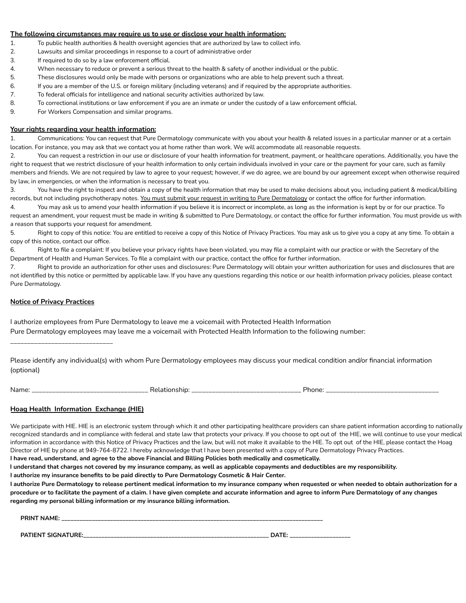## **The following circumstances may require us to use or disclose your health information:**

- 1. To public health authorities & health oversight agencies that are authorized by law to collect info.
- 2. Lawsuits and similar proceedings in response to a court of administrative order
- 3. If required to do so by a law enforcement official.
- 4. When necessary to reduce or prevent a serious threat to the health & safety of another individual or the public.
- 5. These disclosures would only be made with persons or organizations who are able to help prevent such a threat.
- 6. If you are a member of the U.S. or foreign military (including veterans) and if required by the appropriate authorities.
- 7. To federal officials for intelligence and national security activities authorized by law.
- 8. To correctional institutions or law enforcement if you are an inmate or under the custody of a law enforcement official.
- 9. For Workers Compensation and similar programs.

#### **Your rights regarding your health information:**

1. Communications: You can request that Pure Dermatology communicate with you about your health & related issues in a particular manner or at a certain location. For instance, you may ask that we contact you at home rather than work. We will accommodate all reasonable requests.

2. You can request a restriction in our use or disclosure of your health information for treatment, payment, or healthcare operations. Additionally, you have the right to request that we restrict disclosure of your health information to only certain individuals involved in your care or the payment for your care, such as family members and friends. We are not required by law to agree to your request; however, if we do agree, we are bound by our agreement except when otherwise required by law, in emergencies, or when the information is necessary to treat you.

3. You have the right to inspect and obtain a copy of the health information that may be used to make decisions about you, including patient & medical/billing records, but not including psychotherapy notes. You must submit your request in writing to Pure Dermatology or contact the office for further information.

4. You may ask us to amend your health information if you believe it is incorrect or incomplete, as long as the information is kept by or for our practice. To request an amendment, your request must be made in writing & submitted to Pure Dermatology, or contact the office for further information. You must provide us with a reason that supports your request for amendment.

5. Right to copy of this notice: You are entitled to receive a copy of this Notice of Privacy Practices. You may ask us to give you a copy at any time. To obtain a copy of this notice, contact our office.

6. Right to file a complaint: If you believe your privacy rights have been violated, you may file a complaint with our practice or with the Secretary of the Department of Health and Human Services. To file a complaint with our practice, contact the office for further information.

7. Right to provide an authorization for other uses and disclosures: Pure Dermatology will obtain your written authorization for uses and disclosures that are not identified by this notice or permitted by applicable law. If you have any questions regarding this notice or our health information privacy policies, please contact Pure Dermatology.

### **Notice of Privacy Practices**

I authorize employees from Pure Dermatology to leave me a voicemail with Protected Health Information Pure Dermatology employees may leave me a voicemail with Protected Health Information to the following number:

\_\_\_\_\_\_\_\_\_\_\_\_\_\_\_\_\_\_\_\_\_\_\_\_\_\_\_\_\_\_

Please identify any individual(s) with whom Pure Dermatology employees may discuss your medical condition and/or financial information (optional)

Name: \_\_\_\_\_\_\_\_\_\_\_\_\_\_\_\_\_\_\_\_\_\_\_\_\_\_\_\_\_\_\_\_\_\_ Relationship: \_\_\_\_\_\_\_\_\_\_\_\_\_\_\_\_\_\_\_\_\_\_\_\_\_\_\_\_\_\_\_\_ Phone: \_\_\_\_\_\_\_\_\_\_\_\_\_\_\_\_\_\_\_\_\_\_\_\_\_\_\_\_\_\_\_\_\_

## **Hoag Health Information Exchange (HIE)**

We participate with HIE. HIE is an electronic system through which it and other participating healthcare providers can share patient information according to nationally recognized standards and in compliance with federal and state law that protects your privacy. If you choose to opt out of the HIE, we will continue to use your medical information in accordance with this Notice of Privacy Practices and the law, but will not make it available to the HIE. To opt out of the HIE, please contact the Hoag Director of HIE by phone at 949-764-8722. I hereby acknowledge that I have been presented with a copy of Pure Dermatology Privacy Practices. I have read, understand, and agree to the above Financial and Billing Policies both medically and cosmetically.

I understand that charges not covered by my insurance company, as well as applicable copayments and deductibles are my responsibility.

**I authorize my insurance benefits to be paid directly to Pure Dermatology Cosmetic & Hair Center.**

I authorize Pure Dermatology to release pertinent medical information to my insurance company when requested or when needed to obtain authorization for a procedure or to facilitate the payment of a claim. I have given complete and accurate information and agree to inform Pure Dermatology of any changes **regarding my personal billing information or my insurance billing information.**

**PRINT NAME: \_\_\_\_\_\_\_\_\_\_\_\_\_\_\_\_\_\_\_\_\_\_\_\_\_\_\_\_\_\_\_\_\_\_\_\_\_\_\_\_\_\_\_\_\_\_\_\_\_\_\_\_\_\_\_\_\_\_\_\_\_\_\_\_\_\_\_\_\_\_\_\_\_\_\_\_\_\_\_\_\_\_\_\_\_\_ PATIENT SIGNATURE:\_\_\_\_\_\_\_\_\_\_\_\_\_\_\_\_\_\_\_\_\_\_\_\_\_\_\_\_\_\_\_\_\_\_\_\_\_\_\_\_\_\_\_\_\_\_\_\_\_\_\_\_\_\_\_\_\_\_\_\_\_ DATE: \_\_\_\_\_\_\_\_\_\_\_\_\_\_\_\_\_\_\_\_**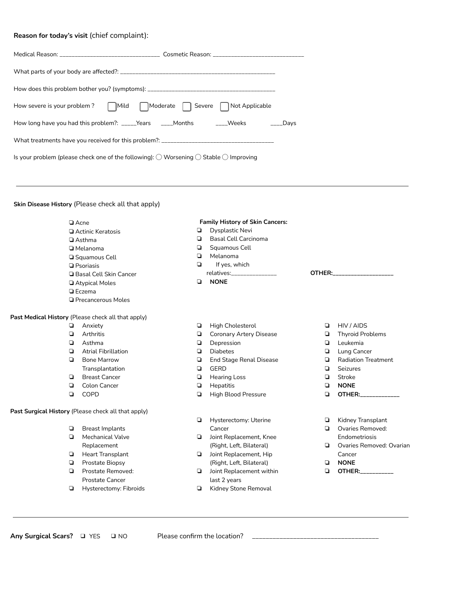# **Reason for today's visit** (chief complaint):

| How does this problem bother you? (symptoms): ___________________________________                                |  |  |  |  |
|------------------------------------------------------------------------------------------------------------------|--|--|--|--|
| How severe is your problem? Mild Moderate Severe Not Applicable                                                  |  |  |  |  |
| How long have you had this problem?: _____Years   ____Months    ____Weeks     ____Days                           |  |  |  |  |
|                                                                                                                  |  |  |  |  |
| Is your problem (please check one of the following): $\bigcirc$ Worsening $\bigcirc$ Stable $\bigcirc$ Improving |  |  |  |  |

# **Skin Disease History** (Please check all that apply)

| $\Box$ Acne                                         |                                 |        | <b>Family History of Skin Cancers:</b> |        |                            |
|-----------------------------------------------------|---------------------------------|--------|----------------------------------------|--------|----------------------------|
|                                                     | Actinic Keratosis               | Q      | Dysplastic Nevi                        |        |                            |
|                                                     | □ Asthma                        | ▫      | <b>Basal Cell Carcinoma</b>            |        |                            |
|                                                     | □ Melanoma                      | $\Box$ | Squamous Cell                          |        |                            |
|                                                     | □ Squamous Cell                 | $\Box$ | Melanoma                               |        |                            |
|                                                     | <b>Q</b> Psoriasis              | $\Box$ | If yes, which                          |        |                            |
|                                                     | <b>Q</b> Basal Cell Skin Cancer |        | relatives:_______________              | OTHER: |                            |
|                                                     | Atypical Moles                  | $\Box$ | <b>NONE</b>                            |        |                            |
|                                                     | $\Box$ Eczema                   |        |                                        |        |                            |
|                                                     | <b>Q</b> Precancerous Moles     |        |                                        |        |                            |
| Past Medical History (Please check all that apply)  |                                 |        |                                        |        |                            |
| $\Box$                                              | Anxiety                         | ◘      | <b>High Cholesterol</b>                | ▫      | HIV / AIDS                 |
| ▫                                                   | Arthritis                       | О      | <b>Coronary Artery Disease</b>         | ▫      | <b>Thyroid Problems</b>    |
| $\Box$                                              | Asthma                          | $\Box$ | Depression                             | ▫      | Leukemia                   |
| $\Box$                                              | <b>Atrial Fibrillation</b>      | $\Box$ | <b>Diabetes</b>                        | $\Box$ | Lung Cancer                |
| $\Box$                                              | <b>Bone Marrow</b>              | $\Box$ | <b>End Stage Renal Disease</b>         | o      | <b>Radiation Treatment</b> |
|                                                     | Transplantation                 | $\Box$ | <b>GERD</b>                            | ◘      | <b>Seizures</b>            |
|                                                     | <b>Breast Cancer</b>            | $\Box$ | <b>Hearing Loss</b>                    | o      | Stroke                     |
| ▫                                                   | Colon Cancer                    | О      | Hepatitis                              | ▫      | <b>NONE</b>                |
| $\Box$                                              | COPD                            | О      | <b>High Blood Pressure</b>             | ❏      | OTHER:                     |
| Past Surgical History (Please check all that apply) |                                 |        |                                        |        |                            |
|                                                     |                                 | Q      | Hysterectomy: Uterine                  | ▫      | Kidney Transplant          |
| $\Box$                                              | <b>Breast Implants</b>          |        | Cancer                                 | ▫      | Ovaries Removed:           |
| o                                                   | <b>Mechanical Valve</b>         | ▫      | Joint Replacement, Knee                |        | Endometriosis              |
|                                                     | Replacement                     |        | (Right, Left, Bilateral)               | o      | Ovaries Removed: Ovarian   |
|                                                     | <b>Heart Transplant</b>         | ▫      | Joint Replacement, Hip                 |        | Cancer                     |
| $\Box$                                              | Prostate Biopsy                 |        | (Right, Left, Bilateral)               | ▫      | <b>NONE</b>                |
|                                                     | Prostate Removed:               | ▫      | Joint Replacement within               | ▫      | <b>OTHER:</b> ________     |
|                                                     | <b>Prostate Cancer</b>          |        | last 2 years                           |        |                            |
| ❏                                                   | Hysterectomy: Fibroids          | ❏      | Kidney Stone Removal                   |        |                            |

**Any Surgical Scars?** ❑ YES ❑ NO Please confirm the location? \_\_\_\_\_\_\_\_\_\_\_\_\_\_\_\_\_\_\_\_\_\_\_\_\_\_\_\_\_\_\_\_\_\_\_\_\_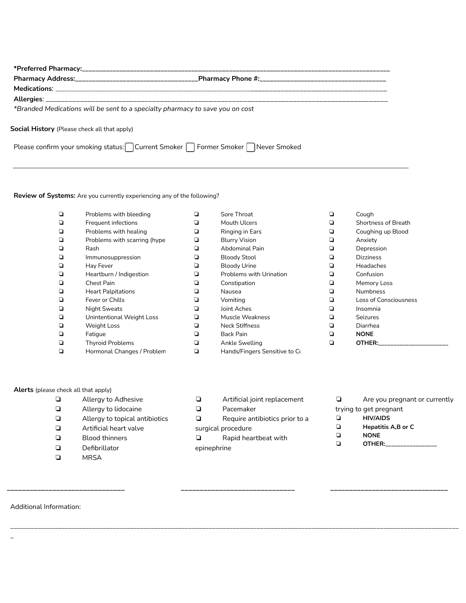| *Branded Medications will be sent to a specialty pharmacy to save you on cost   |  |
|---------------------------------------------------------------------------------|--|
| <b>Social History</b> (Please check all that apply)                             |  |
| Please confirm your smoking status: Current Smoker neformer Smoker never Smoked |  |

# **Review of Systems:** Are you currently experiencing any of the following?

| ◘ | Problems with bleeding       | ❏ | Sore Throat                    | ◘ | Cough                        |
|---|------------------------------|---|--------------------------------|---|------------------------------|
| ❏ | Frequent infections          | ❏ | Mouth Ulcers                   | ❏ | <b>Shortness of Breath</b>   |
| ◘ | Problems with healing        | ❏ | Ringing in Ears                | ❏ | Coughing up Blood            |
| ◘ | Problems with scarring (hype | ❏ | <b>Blurry Vision</b>           | ❏ | Anxiety                      |
| ❏ | Rash                         | ❏ | <b>Abdominal Pain</b>          | ❏ | Depression                   |
| ◘ | Immunosuppression            | ❏ | <b>Bloody Stool</b>            | ❏ | <b>Dizziness</b>             |
|   | Hay Fever                    | ❏ | <b>Bloody Urine</b>            | ❏ | <b>Headaches</b>             |
|   | Heartburn / Indigestion      | ❏ | <b>Problems with Urination</b> | ❏ | Confusion                    |
| ◘ | Chest Pain                   | ❏ | Constipation                   | ❏ | Memory Loss                  |
| ◘ | <b>Heart Palpitations</b>    | ❏ | Nausea                         | Q | <b>Numbness</b>              |
| ◘ | Fever or Chills              | ❏ | Vomiting                       | ❏ | <b>Loss of Consciousness</b> |
| ◘ | <b>Night Sweats</b>          | ❏ | Joint Aches                    | ❏ | Insomnia                     |
| ◘ | Unintentional Weight Loss    | ❏ | Muscle Weakness                | ❏ | <b>Seizures</b>              |
| ❏ | <b>Weight Loss</b>           | ❏ | <b>Neck Stiffness</b>          | ❏ | Diarrhea                     |
| ◘ | Fatigue                      | ❏ | Back Pain                      | ❏ | <b>NONE</b>                  |
|   | <b>Thyroid Problems</b>      | ❏ | Ankle Swelling                 | ◘ | OTHER:                       |
|   | Hormonal Changes / Problem   |   | Hands/Fingers Sensitive to Co  |   |                              |

# **Alerts** (please check all that apply)

- ❏ Allergy to Adhesive ❏ Allergy to lidocaine ❏ Allergy to topical antibiotics ❏ Artificial heart valve ❏ Blood thinners ❏ Defibrillator
- ❏ MRSA
- ❏ Artificial joint replacement
- ❏ Pacemaker

**\_\_\_\_\_\_\_\_\_\_\_\_\_\_\_\_\_\_\_\_\_\_\_\_\_\_\_\_\_\_\_ \_\_\_\_\_\_\_\_\_\_\_\_\_\_\_\_\_\_\_\_\_\_\_\_\_\_\_\_\_\_ \_\_\_\_\_\_\_\_\_\_\_\_\_\_\_\_\_\_\_\_\_\_\_\_\_\_\_\_\_\_\_**

\_\_\_\_\_\_\_\_\_\_\_\_\_\_\_\_\_\_\_\_\_\_\_\_\_\_\_\_\_\_\_\_\_\_\_\_\_\_\_\_\_\_\_\_\_\_\_\_\_\_\_\_\_\_\_\_\_\_\_\_\_\_\_\_\_\_\_\_\_\_\_\_\_\_\_\_\_\_\_\_\_\_\_\_\_\_\_\_\_\_\_\_\_\_\_\_\_\_\_\_\_\_\_\_\_\_\_\_\_\_\_\_\_\_\_\_\_\_\_\_\_\_\_\_\_\_\_\_\_\_\_

- ❏ Require antibiotics prior to a surgical procedure
- ❏ Rapid heartbeat with epinephrine
- ❏ Are you pregnant or currently trying to get pregnant ❏ **HIV/AIDS** ❏ **Hepatitis A,B or C** ❏ **NONE**
	- ❏ **OTHER:\_\_\_\_\_\_\_\_\_\_\_\_\_\_\_\_\_**

Additional Information:

\_